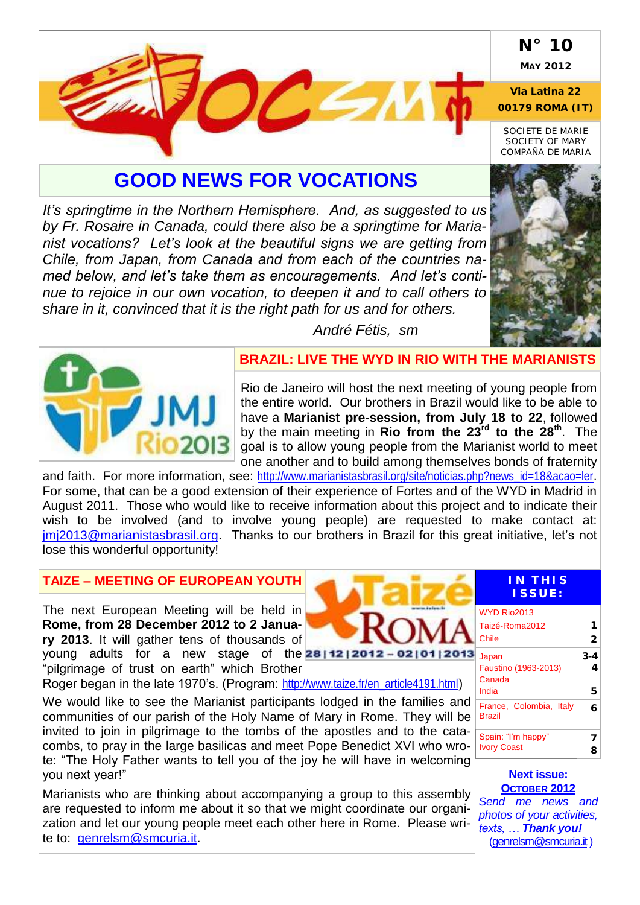## **N° 10**

**MAY 2012**

**Via Latina 22 00179 ROMA (IT)**

*SOCIETE DE MARIE SOCIETY OF MARY COMPAÑA DE MARIA*

# **GOOD NEWS FOR VOCATIONS**

*It's springtime in the Northern Hemisphere. And, as suggested to us by Fr. Rosaire in Canada, could there also be a springtime for Marianist vocations? Let's look at the beautiful signs we are getting from Chile, from Japan, from Canada and from each of the countries named below, and let's take them as encouragements. And let's continue to rejoice in our own vocation, to deepen it and to call others to share in it, convinced that it is the right path for us and for others.*





#### **BRAZIL: LIVE THE WYD IN RIO WITH THE MARIANISTS**

*André Fétis, sm*

Rio de Janeiro will host the next meeting of young people from the entire world. Our brothers in Brazil would like to be able to have a **Marianist pre-session, from July 18 to 22**, followed by the main meeting in **Rio from the 23rd to the 28th**. The goal is to allow young people from the Marianist world to meet one another and to build among themselves bonds of fraternity

and faith. For more information, see: [http://www.marianistasbrasil.org/site/noticias.php?news\\_id=18&acao=ler](http://www.marianistasbrasil.org/site/noticias.php?news_id=18&acao=ler). For some, that can be a good extension of their experience of Fortes and of the WYD in Madrid in August 2011. Those who would like to receive information about this project and to indicate their wish to be involved (and to involve young people) are requested to make contact at: [jmj2013@marianistasbrasil.org.](mailto:jmj2013@marianistasbrasil.org) Thanks to our brothers in Brazil for this great initiative, let's not lose this wonderful opportunity!

### **TAIZE – MEETING OF EUROPEAN YOUTH**

The next European Meeting will be held in **Rome, from 28 December 2012 to 2 January 2013**. It will gather tens of thousands of young adults for a new stage of the **2811212012-0210112013** "pilgrimage of trust on earth" which Brother

Roger began in the late 1970's. (Program: [http://www.taize.fr/en\\_article4191.html](http://www.taize.fr/en_article4191.html))

We would like to see the Marianist participants lodged in the families and communities of our parish of the Holy Name of Mary in Rome. They will be invited to join in pilgrimage to the tombs of the apostles and to the catacombs, to pray in the large basilicas and meet Pope Benedict XVI who wrote: "The Holy Father wants to tell you of the joy he will have in welcoming you next year!"

Marianists who are thinking about accompanying a group to this assembly are requested to inform me about it so that we might coordinate our organization and let our young people meet each other here in Rome. Please write to: [genrelsm@smcuria.it.](mailto:genrelsm@smcuria.it)

### **IN T H I S I S S U E :**

| WYD Rio2013                              |   |
|------------------------------------------|---|
| Taizé-Roma2012                           |   |
| Chile                                    |   |
| Japan<br>Faustino (1963-2013)            |   |
| Canada<br>India                          | 5 |
| France, Colombia, Italy<br>Brazil        |   |
| Spain: "I'm happy"<br><b>Ivory Coast</b> |   |
|                                          |   |

**Next issue: OCTOBER 2012**

*Send me news and photos of your activities, texts, … Thank you!* [\(genrelsm@smcuria.it](mailto:genrelsm@smcuria.it))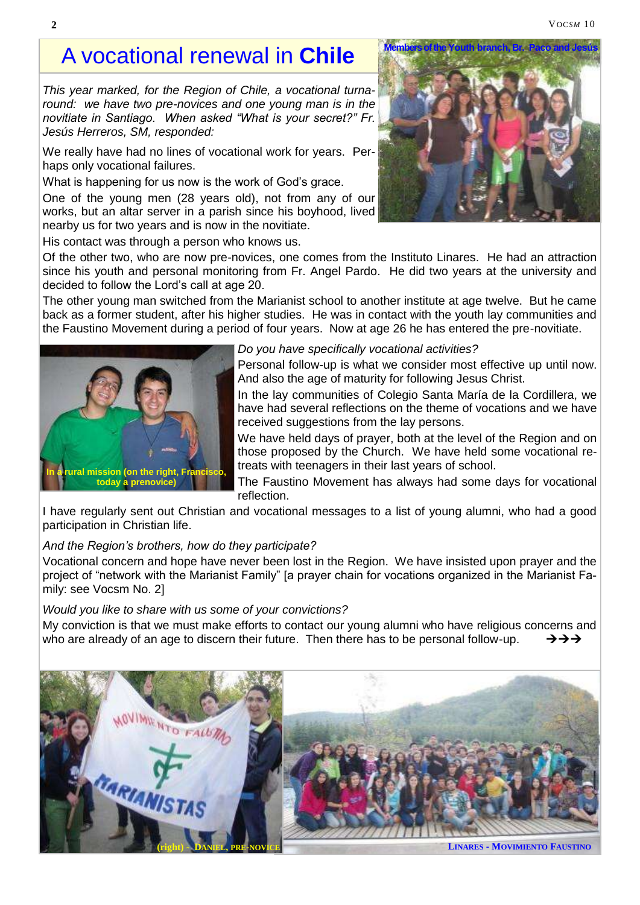#### **2** VOCSM 10

# A vocational renewal in **Chile**

*This year marked, for the Region of Chile, a vocational turnaround: we have two pre-novices and one young man is in the novitiate in Santiago. When asked "What is your secret?" Fr. Jesús Herreros, SM, responded:*

We really have had no lines of vocational work for years. Perhaps only vocational failures.

What is happening for us now is the work of God's grace.

One of the young men (28 years old), not from any of our works, but an altar server in a parish since his boyhood, lived nearby us for two years and is now in the novitiate.

His contact was through a person who knows us.

Of the other two, who are now pre-novices, one comes from the Instituto Linares. He had an attraction since his youth and personal monitoring from Fr. Angel Pardo. He did two years at the university and decided to follow the Lord's call at age 20.

The other young man switched from the Marianist school to another institute at age twelve. But he came back as a former student, after his higher studies. He was in contact with the youth lay communities and the Faustino Movement during a period of four years. Now at age 26 he has entered the pre-novitiate.



*Do you have specifically vocational activities?*

Personal follow-up is what we consider most effective up until now. And also the age of maturity for following Jesus Christ.

In the lay communities of Colegio Santa María de la Cordillera, we have had several reflections on the theme of vocations and we have received suggestions from the lay persons.

We have held days of prayer, both at the level of the Region and on those proposed by the Church. We have held some vocational retreats with teenagers in their last years of school.

The Faustino Movement has always had some days for vocational reflection.

I have regularly sent out Christian and vocational messages to a list of young alumni, who had a good participation in Christian life.

#### *And the Region's brothers, how do they participate?*

Vocational concern and hope have never been lost in the Region. We have insisted upon prayer and the project of "network with the Marianist Family" [a prayer chain for vocations organized in the Marianist Family: see Vocsm No. 2]

*Would you like to share with us some of your convictions?*

My conviction is that we must make efforts to contact our young alumni who have religious concerns and who are already of an age to discern their future. Then there has to be personal follow-up.  $\rightarrow \rightarrow \rightarrow \rightarrow$ 



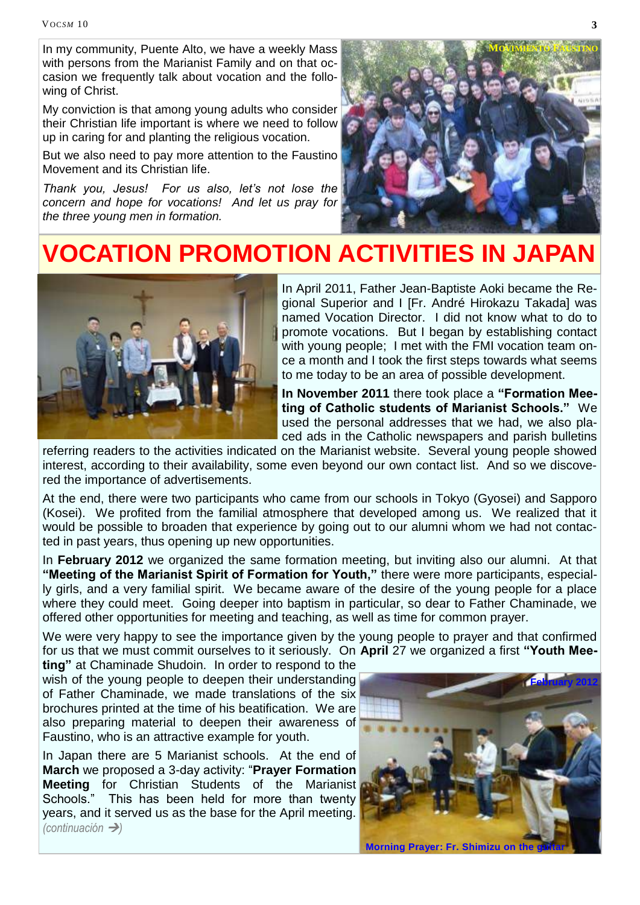In my community, Puente Alto, we have a weekly Mass with persons from the Marianist Family and on that occasion we frequently talk about vocation and the following of Christ.

My conviction is that among young adults who consider their Christian life important is where we need to follow up in caring for and planting the religious vocation.

But we also need to pay more attention to the Faustino Movement and its Christian life.

*Thank you, Jesus! For us also, let's not lose the concern and hope for vocations! And let us pray for the three young men in formation.*



# **VOCATION PROMOTION ACTIVITIES IN JAPAN**



In April 2011, Father Jean-Baptiste Aoki became the Regional Superior and I [Fr. André Hirokazu Takada] was named Vocation Director. I did not know what to do to promote vocations. But I began by establishing contact with young people; I met with the FMI vocation team once a month and I took the first steps towards what seems to me today to be an area of possible development.

**In November 2011** there took place a **"Formation Meeting of Catholic students of Marianist Schools."** We used the personal addresses that we had, we also placed ads in the Catholic newspapers and parish bulletins

referring readers to the activities indicated on the Marianist website. Several young people showed interest, according to their availability, some even beyond our own contact list. And so we discovered the importance of advertisements.

At the end, there were two participants who came from our schools in Tokyo (Gyosei) and Sapporo (Kosei). We profited from the familial atmosphere that developed among us. We realized that it would be possible to broaden that experience by going out to our alumni whom we had not contacted in past years, thus opening up new opportunities.

In **February 2012** we organized the same formation meeting, but inviting also our alumni. At that **"Meeting of the Marianist Spirit of Formation for Youth,"** there were more participants, especially girls, and a very familial spirit. We became aware of the desire of the young people for a place where they could meet. Going deeper into baptism in particular, so dear to Father Chaminade, we offered other opportunities for meeting and teaching, as well as time for common prayer.

We were very happy to see the importance given by the young people to prayer and that confirmed for us that we must commit ourselves to it seriously. On **April** 27 we organized a first **"Youth Mee-**

**ting"** at Chaminade Shudoin. In order to respond to the wish of the young people to deepen their understanding of Father Chaminade, we made translations of the six brochures printed at the time of his beatification. We are also preparing material to deepen their awareness of Faustino, who is an attractive example for youth.

In Japan there are 5 Marianist schools. At the end of **March** we proposed a 3-day activity: "**Prayer Formation Meeting** for Christian Students of the Marianist Schools." This has been held for more than twenty years, and it served us as the base for the April meeting. *(continuación )*

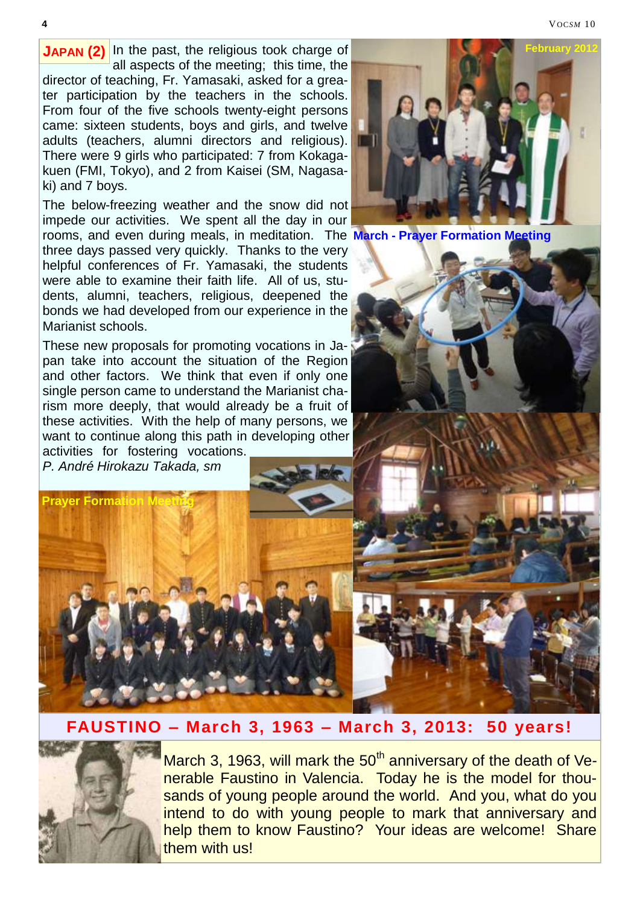**JAPAN (2)** In the past, the religious took charge of all aspects of the meeting; this time, the director of teaching, Fr. Yamasaki, asked for a greater participation by the teachers in the schools. From four of the five schools twenty-eight persons came: sixteen students, boys and girls, and twelve adults (teachers, alumni directors and religious). There were 9 girls who participated: 7 from Kokagakuen (FMI, Tokyo), and 2 from Kaisei (SM, Nagasaki) and 7 boys.

The below-freezing weather and the snow did not impede our activities. We spent all the day in our rooms, and even during meals, in meditation. The **March - Prayer Formation Meeting** three days passed very quickly. Thanks to the very helpful conferences of Fr. Yamasaki, the students were able to examine their faith life. All of us, students, alumni, teachers, religious, deepened the bonds we had developed from our experience in the Marianist schools.

These new proposals for promoting vocations in Japan take into account the situation of the Region and other factors. We think that even if only one single person came to understand the Marianist charism more deeply, that would already be a fruit of these activities. With the help of many persons, we want to continue along this path in developing other activities for fostering vocations.

*P. André Hirokazu Takada, sm*

**Prayer Formation** 



### **FAUSTINO – March 3, 1963 – March 3, 2013: 50 years!**



March 3, 1963, will mark the  $50<sup>th</sup>$  anniversary of the death of Venerable Faustino in Valencia. Today he is the model for thousands of young people around the world. And you, what do you intend to do with young people to mark that anniversary and help them to know Faustino? Your ideas are welcome! Share them with us!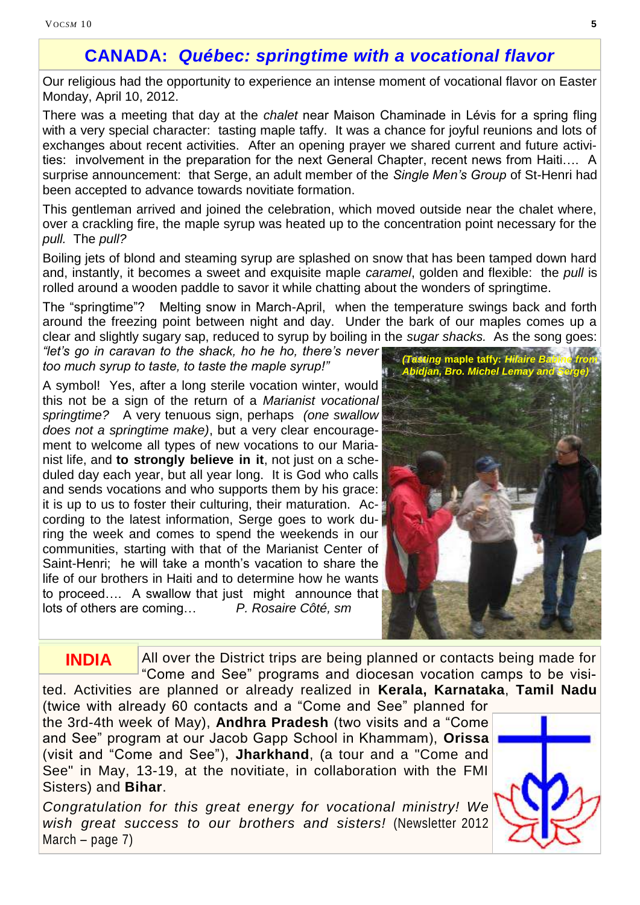## **CANADA:** *Québec: springtime with a vocational flavor*

Our religious had the opportunity to experience an intense moment of vocational flavor on Easter Monday, April 10, 2012.

There was a meeting that day at the *chalet* near Maison Chaminade in Lévis for a spring fling with a very special character: tasting maple taffy. It was a chance for joyful reunions and lots of exchanges about recent activities. After an opening prayer we shared current and future activities: involvement in the preparation for the next General Chapter, recent news from Haiti…. A surprise announcement: that Serge, an adult member of the *Single Men's Group* of St-Henri had been accepted to advance towards novitiate formation.

This gentleman arrived and joined the celebration, which moved outside near the chalet where, over a crackling fire, the maple syrup was heated up to the concentration point necessary for the *pull.* The *pull?* 

Boiling jets of blond and steaming syrup are splashed on snow that has been tamped down hard and, instantly, it becomes a sweet and exquisite maple *caramel*, golden and flexible: the *pull* is rolled around a wooden paddle to savor it while chatting about the wonders of springtime.

The "springtime"? Melting snow in March-April, when the temperature swings back and forth around the freezing point between night and day. Under the bark of our maples comes up a clear and slightly sugary sap, reduced to syrup by boiling in the *sugar shacks.* As the song goes:

*"let's go in caravan to the shack, ho he ho, there's never too much syrup to taste, to taste the maple syrup!"* 

A symbol! Yes, after a long sterile vocation winter, would this not be a sign of the return of a *Marianist vocational springtime?* A very tenuous sign, perhaps *(one swallow does not a springtime make)*, but a very clear encouragement to welcome all types of new vocations to our Marianist life, and **to strongly believe in it**, not just on a scheduled day each year, but all year long. It is God who calls and sends vocations and who supports them by his grace: it is up to us to foster their culturing, their maturation. According to the latest information, Serge goes to work during the week and comes to spend the weekends in our communities, starting with that of the Marianist Center of Saint-Henri; he will take a month's vacation to share the life of our brothers in Haiti and to determine how he wants to proceed.... A swallow that just might announce that lots of others are coming… *P. Rosaire Côté, sm*



All over the District trips are being planned or contacts being made for "Come and See" programs and diocesan vocation camps to be visited. Activities are planned or already realized in **Kerala, Karnataka**, **Tamil Nadu INDIA**

(twice with already 60 contacts and a "Come and See" planned for the 3rd-4th week of May), **Andhra Pradesh** (two visits and a "Come and See" program at our Jacob Gapp School in Khammam), **Orissa**  (visit and "Come and See"), **Jharkhand**, (a tour and a "Come and See" in May, 13-19, at the novitiate, in collaboration with the FMI Sisters) and **Bihar**.

*Congratulation for this great energy for vocational ministry! We wish great success to our brothers and sisters!* (Newsletter 2012 March – page 7)

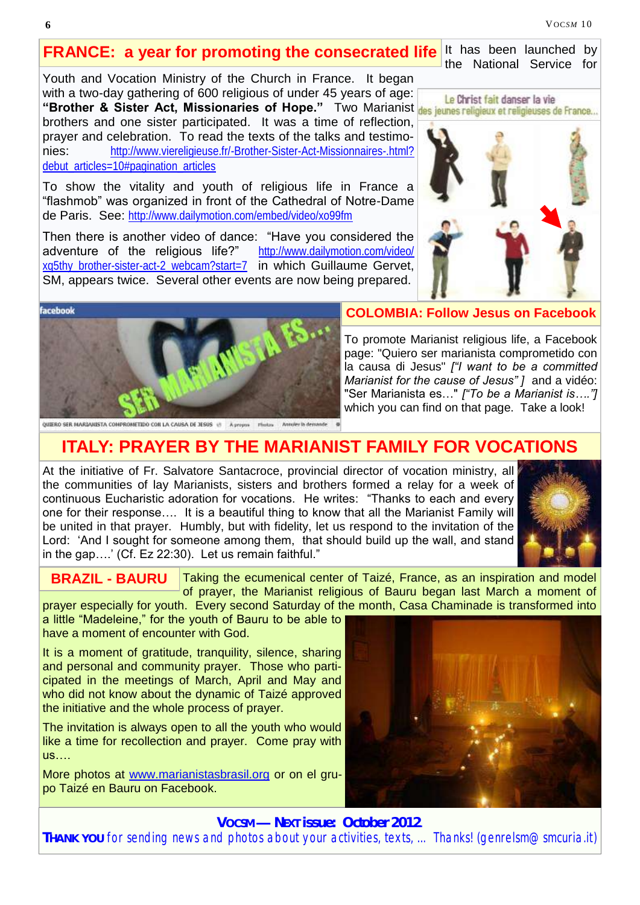**6** VOC*SM* 10

### **FRANCE: a year for promoting the consecrated life**

Youth and Vocation Ministry of the Church in France. It began with a two-day gathering of 600 religious of under 45 years of age: **"Brother & Sister Act, Missionaries of Hope."** Two Marianist des jeunes religieux et religieuses de France... brothers and one sister participated. It was a time of reflection, prayer and celebration. To read the texts of the talks and testimonies: [http://www.viereligieuse.fr/-Brother-Sister-Act-Missionnaires-.html?](http://www.viereligieuse.fr/-Brother-Sister-Act-Missionnaires-.html?debut_articles=10#pagination_articles) [debut\\_articles=10#pagination\\_articles](http://www.viereligieuse.fr/-Brother-Sister-Act-Missionnaires-.html?debut_articles=10#pagination_articles)

To show the vitality and youth of religious life in France a "flashmob" was organized in front of the Cathedral of Notre-Dame de Paris. See: <http://www.dailymotion.com/embed/video/xo99fm>

Then there is another video of dance: "Have you considered the adventure of the religious life?" [http://www.dailymotion.com/video/](http://www.dailymotion.com/video/xq5thy_brother-sister-act-2_webcam?start=7) xq5thy brother-sister-act-2 webcam?start=7 in which Guillaume Gervet, SM, appears twice. Several other events are now being prepared.



It has been launched by the National Service for



#### **COLOMBIA: Follow Jesus on Facebook**

To promote Marianist religious life, a Facebook page: "Quiero ser marianista comprometido con la causa di Jesus" *["I want to be a committed Marianist for the cause of Jesus" ]* and a vidéo: "Ser Marianista es…" *["To be a Marianist is…."]* which you can find on that page. Take a look!

## **ITALY: PRAYER BY THE MARIANIST FAMILY FOR VOCATIONS**

At the initiative of Fr. Salvatore Santacroce, provincial director of vocation ministry, all the communities of lay Marianists, sisters and brothers formed a relay for a week of continuous Eucharistic adoration for vocations. He writes: "Thanks to each and every one for their response…. It is a beautiful thing to know that all the Marianist Family will be united in that prayer. Humbly, but with fidelity, let us respond to the invitation of the Lord: 'And I sought for someone among them, that should build up the wall, and stand in the gap….' (Cf. Ez 22:30). Let us remain faithful."



**BRAZIL - BAURU**

Taking the ecumenical center of Taizé, France, as an inspiration and model of prayer, the Marianist religious of Bauru began last March a moment of

prayer especially for youth. Every second Saturday of the month, Casa Chaminade is transformed into

a little "Madeleine," for the youth of Bauru to be able to have a moment of encounter with God.

It is a moment of gratitude, tranquility, silence, sharing and personal and community prayer. Those who participated in the meetings of March, April and May and who did not know about the dynamic of Taizé approved the initiative and the whole process of prayer.

The invitation is always open to all the youth who would like a time for recollection and prayer. Come pray with us….

More photos at [www.marianistasbrasil.org](http://www.marianistasbrasil.org/) or on el grupo Taizé en Bauru on Facebook.



**VOC***SM — NEXT* **issue: October 2012**.

**THANK YOU** for sending news and photos about your activities, texts, ... Thanks! (genrelsm@smcuria.it)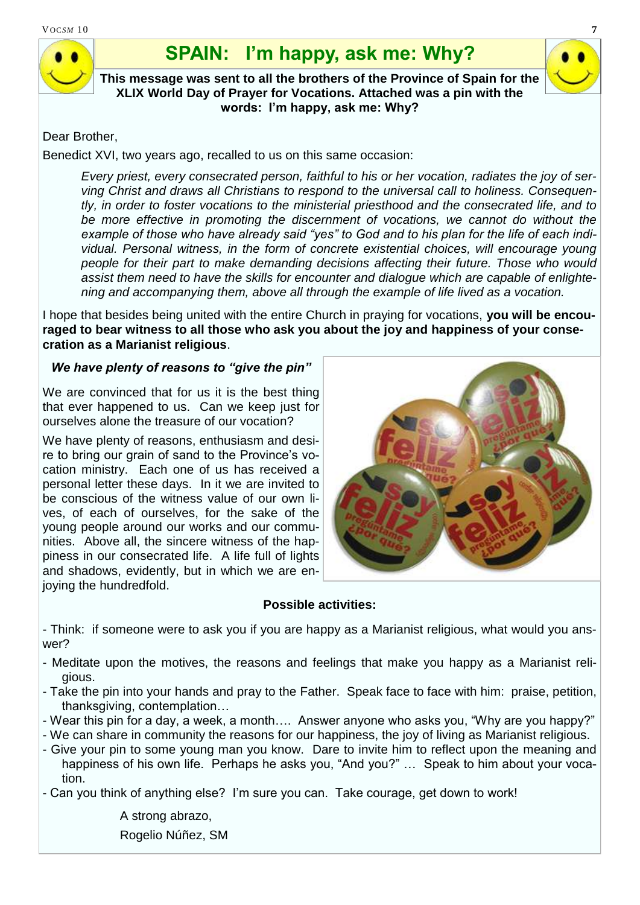# **SPAIN: I'm happy, ask me: Why?**

**This message was sent to all the brothers of the Province of Spain for the XLIX World Day of Prayer for Vocations. Attached was a pin with the words: I'm happy, ask me: Why?**

#### Dear Brother,

Benedict XVI, two years ago, recalled to us on this same occasion:

*Every priest, every consecrated person, faithful to his or her vocation, radiates the joy of serving Christ and draws all Christians to respond to the universal call to holiness. Consequently, in order to foster vocations to the ministerial priesthood and the consecrated life, and to*  be more effective in promoting the discernment of vocations, we cannot do without the *example of those who have already said "yes" to God and to his plan for the life of each individual. Personal witness, in the form of concrete existential choices, will encourage young people for their part to make demanding decisions affecting their future. Those who would assist them need to have the skills for encounter and dialogue which are capable of enlightening and accompanying them, above all through the example of life lived as a vocation.* 

I hope that besides being united with the entire Church in praying for vocations, **you will be encouraged to bear witness to all those who ask you about the joy and happiness of your consecration as a Marianist religious**.

#### *We have plenty of reasons to "give the pin"*

We are convinced that for us it is the best thing that ever happened to us. Can we keep just for ourselves alone the treasure of our vocation?

We have plenty of reasons, enthusiasm and desire to bring our grain of sand to the Province's vocation ministry. Each one of us has received a personal letter these days. In it we are invited to be conscious of the witness value of our own lives, of each of ourselves, for the sake of the young people around our works and our communities. Above all, the sincere witness of the happiness in our consecrated life. A life full of lights and shadows, evidently, but in which we are enjoying the hundredfold.



#### **Possible activities:**

- Think: if someone were to ask you if you are happy as a Marianist religious, what would you answer?

- Meditate upon the motives, the reasons and feelings that make you happy as a Marianist religious.
- Take the pin into your hands and pray to the Father. Speak face to face with him: praise, petition, thanksgiving, contemplation…
- Wear this pin for a day, a week, a month…. Answer anyone who asks you, "Why are you happy?"

- We can share in community the reasons for our happiness, the joy of living as Marianist religious.

- Give your pin to some young man you know. Dare to invite him to reflect upon the meaning and happiness of his own life. Perhaps he asks you, "And you?" … Speak to him about your vocation.

- Can you think of anything else? I'm sure you can. Take courage, get down to work!

A strong abrazo,

Rogelio Núñez, SM